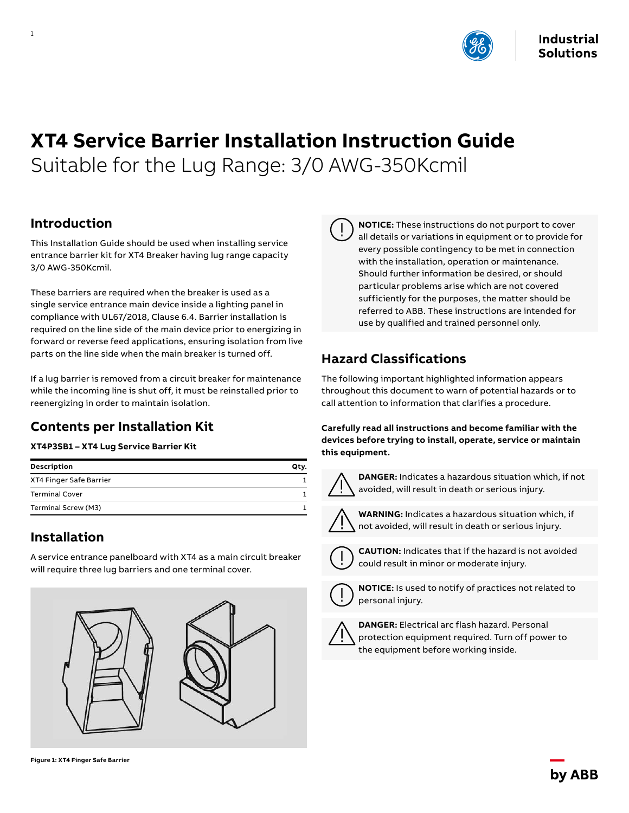

# **XT4 Service Barrier Installation Instruction Guide** Suitable for the Lug Range: 3/0 AWG-350Kcmil

#### **Introduction**

1

This Installation Guide should be used when installing service entrance barrier kit for XT4 Breaker having lug range capacity 3/0 AWG-350Kcmil.

These barriers are required when the breaker is used as a single service entrance main device inside a lighting panel in compliance with UL67/2018, Clause 6.4. Barrier installation is required on the line side of the main device prior to energizing in forward or reverse feed applications, ensuring isolation from live parts on the line side when the main breaker is turned off.

If a lug barrier is removed from a circuit breaker for maintenance while the incoming line is shut off, it must be reinstalled prior to reenergizing in order to maintain isolation.

## **Contents per Installation Kit**

#### **XT4P3SB1 – XT4 Lug Service Barrier Kit**

| <b>Description</b>      | Otv. |
|-------------------------|------|
| XT4 Finger Safe Barrier |      |
| <b>Terminal Cover</b>   |      |
| Terminal Screw (M3)     |      |

## **Installation**

A service entrance panelboard with XT4 as a main circuit breaker will require three lug barriers and one terminal cover.





**NOTICE:** These instructions do not purport to cover all details or variations in equipment or to provide for every possible contingency to be met in connection with the installation, operation or maintenance. Should further information be desired, or should particular problems arise which are not covered sufficiently for the purposes, the matter should be referred to ABB. These instructions are intended for use by qualified and trained personnel only.

# **Hazard Classifications**

The following important highlighted information appears throughout this document to warn of potential hazards or to call attention to information that clarifies a procedure.

**Carefully read all instructions and become familiar with the devices before trying to install, operate, service or maintain this equipment.**



**DANGER:** Indicates a hazardous situation which, if not avoided, will result in death or serious injury.



**WARNING:** Indicates a hazardous situation which, if not avoided, will result in death or serious injury.



**CAUTION:** Indicates that if the hazard is not avoided could result in minor or moderate injury.



**NOTICE:** Is used to notify of practices not related to personal injury.



**DANGER:** Electrical arc flash hazard. Personal protection equipment required. Turn off power to the equipment before working inside.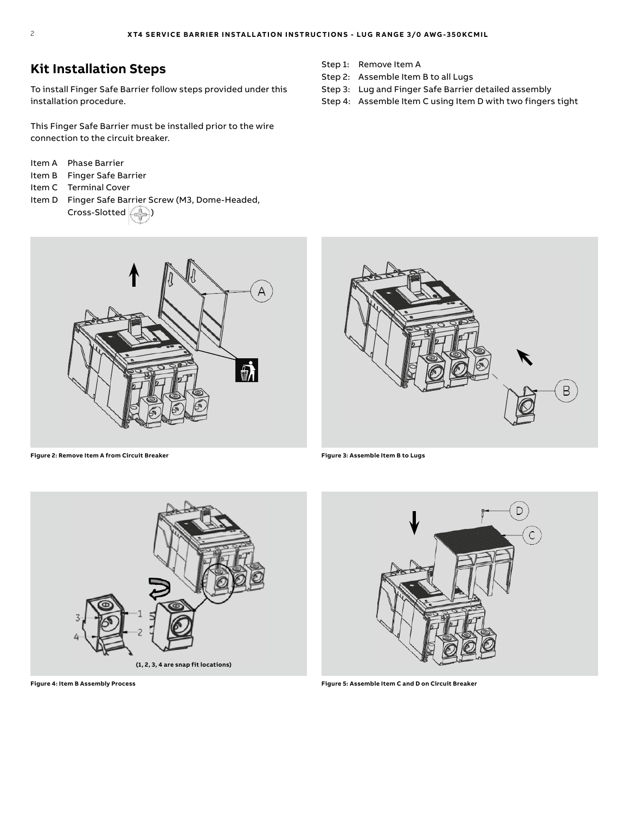#### **Kit Installation Steps**

To install Finger Safe Barrier follow steps provided under this installation procedure.

This Finger Safe Barrier must be installed prior to the wire connection to the circuit breaker.

- Item A Phase Barrier
- Item B Finger Safe Barrier
- Item C Terminal Cover
- Item D Finger Safe Barrier Screw (M3, Dome-Headed, Cross-Slotted (



- Step 2: Assemble Item B to all Lugs
- Step 3: Lug and Finger Safe Barrier detailed assembly
- Step 4: Assemble Item C using Item D with two fingers tight



**Figure 2: Remove Item A from Circuit Breaker Figure 3: Assemble Item B to Lugs**







**Figure 4: Item B Assembly Process Figure 5: Assemble Item C and D on Circuit Breaker**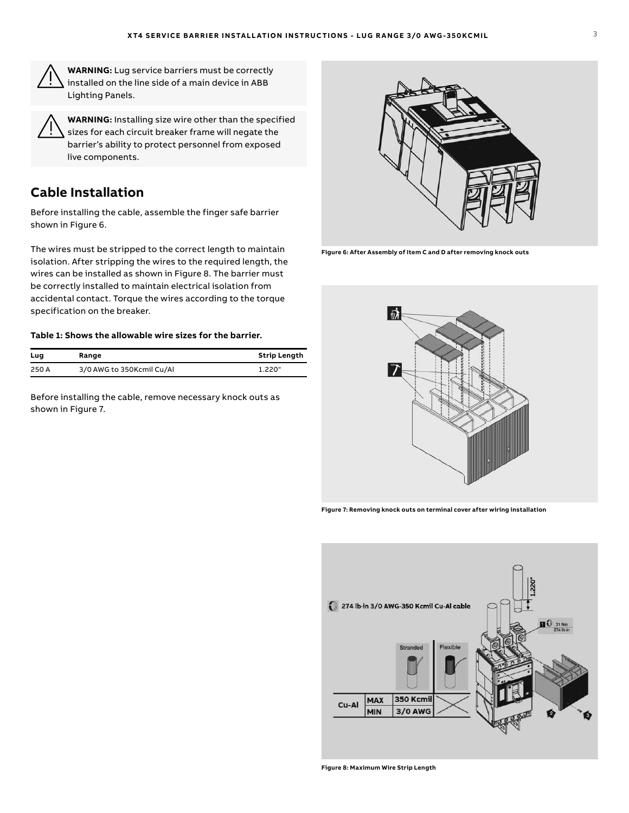

**WARNING:** Lug service barriers must be correctly installed on the line side of a main device in ABB Lighting Panels.



**WARNING:** Installing size wire other than the specified sizes for each circuit breaker frame will negate the barrier's ability to protect personnel from exposed live components.

### **Cable Installation**

Before installing the cable, assemble the finger safe barrier shown in Figure 6.

The wires must be stripped to the correct length to maintain isolation. After stripping the wires to the required length, the wires can be installed as shown in Figure 8. The barrier must be correctly installed to maintain electrical isolation from accidental contact. Torque the wires according to the torque specification on the breaker.

#### **Table 1: Shows the allowable wire sizes for the barrier.**

| Lug   | Range                     | <b>Strip Length</b> |
|-------|---------------------------|---------------------|
| 250 A | 3/0 AWG to 350Kcmil Cu/Al | 1.220"              |

Before installing the cable, remove necessary knock outs as shown in Figure 7.



**Figure 6: After Assembly of Item C and D after removing knock outs**



**Figure 7: Removing knock outs on terminal cover after wiring installation** 



**Figure 8: Maximum Wire Strip Length**